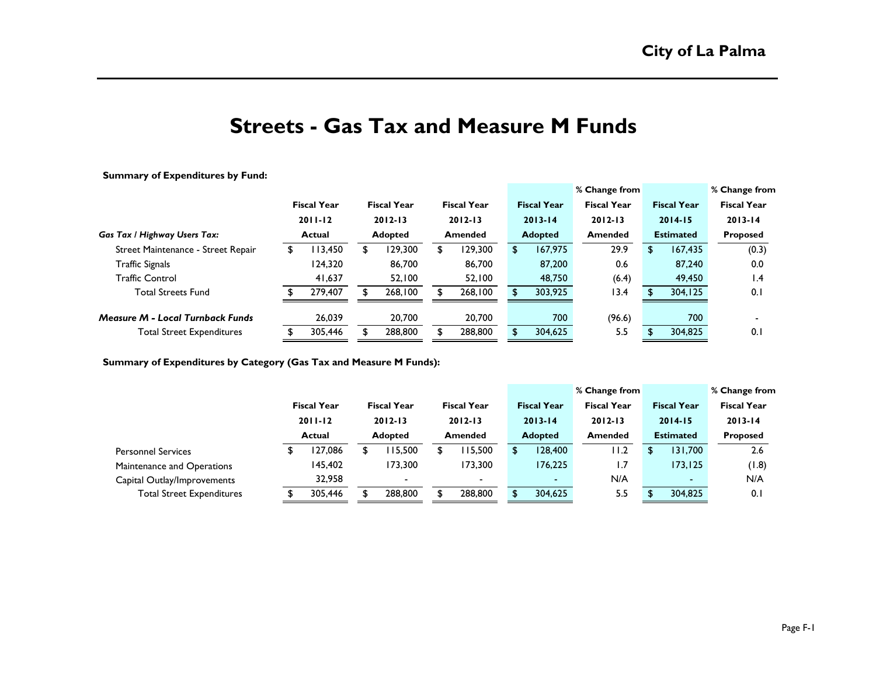# **Streets - Gas Tax and Measure M Funds**

**Summary of Expenditures by Fund:**

|                                         |                                             |         |                               |                    |                               |                    |                | % Change from      |                    |                    | % Change from |                    |  |
|-----------------------------------------|---------------------------------------------|---------|-------------------------------|--------------------|-------------------------------|--------------------|----------------|--------------------|--------------------|--------------------|---------------|--------------------|--|
|                                         | <b>Fiscal Year</b><br>$2011 - 12$<br>Actual |         |                               | <b>Fiscal Year</b> |                               | <b>Fiscal Year</b> |                | <b>Fiscal Year</b> | <b>Fiscal Year</b> | <b>Fiscal Year</b> |               | <b>Fiscal Year</b> |  |
|                                         |                                             |         | $2012 - 13$<br><b>Adopted</b> |                    | $2012 - 13$<br><b>Amended</b> |                    |                | $2013 - 14$        | $2012 - 13$        | $2014 - 15$        |               | $2013 - 14$        |  |
| Gas Tax / Highway Users Tax:            |                                             |         |                               |                    |                               |                    | <b>Adopted</b> |                    | <b>Amended</b>     | <b>Estimated</b>   |               | <b>Proposed</b>    |  |
| Street Maintenance - Street Repair      |                                             | 13,450  |                               | 129,300            | S                             | 129,300            | \$             | 167,975            | 29.9               | S.                 | 167,435       | (0.3)              |  |
| <b>Traffic Signals</b>                  |                                             | 124,320 |                               | 86,700             |                               | 86,700             |                | 87,200             | 0.6                |                    | 87,240        | 0.0                |  |
| <b>Traffic Control</b>                  |                                             | 41.637  |                               | 52.100             |                               | 52,100             |                | 48,750             | (6.4)              |                    | 49,450        | $\mathsf{I}$ .4    |  |
| <b>Total Streets Fund</b>               |                                             | 279,407 |                               | 268,100            |                               | 268,100            |                | 303,925            | 13.4               |                    | 304,125       | 0.1                |  |
| <b>Measure M - Local Turnback Funds</b> |                                             | 26,039  |                               | 20,700             |                               | 20,700             |                | 700                | (96.6)             |                    | 700           |                    |  |
| <b>Total Street Expenditures</b>        |                                             | 305,446 |                               | 288,800            |                               | 288,800            |                | 304,625            | 5.5                |                    | 304,825       | 0.1                |  |

**Summary of Expenditures by Category (Gas Tax and Measure M Funds):**

|                                  |  |                                                    |  |                               |  |                          |  |                    | <b>1% Change from</b> |                                 |          | % Change from                  |  |
|----------------------------------|--|----------------------------------------------------|--|-------------------------------|--|--------------------------|--|--------------------|-----------------------|---------------------------------|----------|--------------------------------|--|
|                                  |  | <b>Fiscal Year</b><br>$2011 - 12$<br><b>Actual</b> |  | <b>Fiscal Year</b>            |  | <b>Fiscal Year</b>       |  | <b>Fiscal Year</b> | <b>Fiscal Year</b>    | <b>Fiscal Year</b>              |          | <b>Fiscal Year</b>             |  |
|                                  |  |                                                    |  | $2012 - 13$<br><b>Adopted</b> |  | $2012 - 13$<br>Amended   |  | $2013 - 14$        | $2012 - 13$           | $2014 - 15$<br><b>Estimated</b> |          | $2013 - 14$<br><b>Proposed</b> |  |
|                                  |  |                                                    |  |                               |  |                          |  | <b>Adopted</b>     | Amended               |                                 |          |                                |  |
| <b>Personnel Services</b>        |  | 27,086                                             |  | 115.500                       |  | 115,500                  |  | 128,400            | I I.2                 |                                 | 131,700  | 2.6                            |  |
| Maintenance and Operations       |  | 145.402                                            |  | 173.300                       |  | 173.300                  |  | 176.225            | ۱.7                   |                                 | 173, 125 | (1.8)                          |  |
| Capital Outlay/Improvements      |  | 32,958                                             |  | $\blacksquare$                |  | $\overline{\phantom{0}}$ |  | $\sim$             | N/A                   |                                 | $\sim$   | N/A                            |  |
| <b>Total Street Expenditures</b> |  | 305,446                                            |  | 288,800                       |  | 288,800                  |  | 304,625            | 5.5                   |                                 | 304,825  | 0.1                            |  |
|                                  |  |                                                    |  |                               |  |                          |  |                    |                       |                                 |          |                                |  |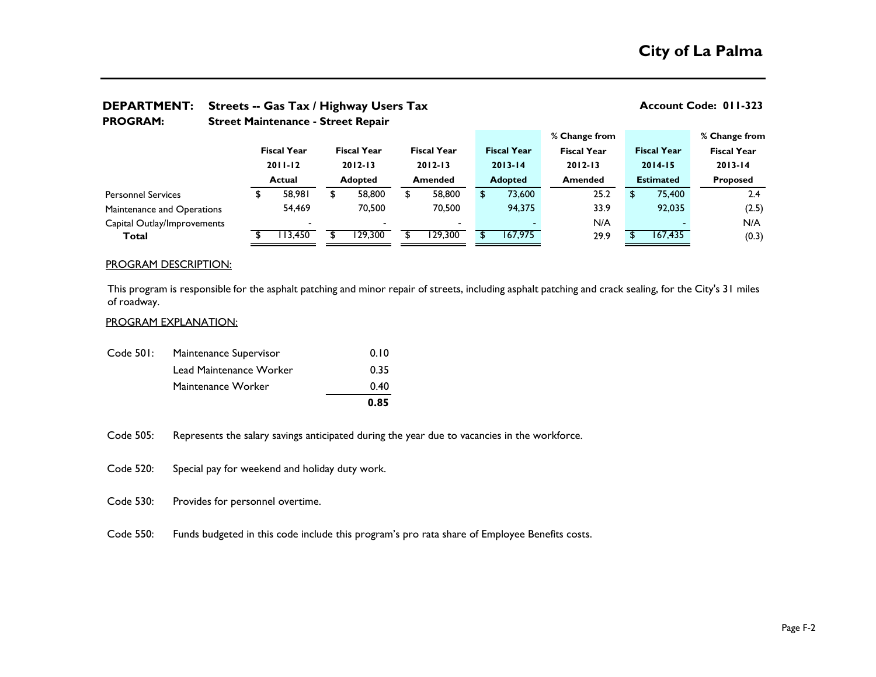| <b>PROGRAM:</b>             |  | <b>Street Maintenance - Street Repair</b>          |                          |                               |                    |                |                                   |  |                    |                    |                                 |                    |                    |  |  |  |
|-----------------------------|--|----------------------------------------------------|--------------------------|-------------------------------|--------------------|----------------|-----------------------------------|--|--------------------|--------------------|---------------------------------|--------------------|--------------------|--|--|--|
|                             |  |                                                    |                          |                               |                    |                |                                   |  |                    | % Change from      |                                 |                    | % Change from      |  |  |  |
|                             |  | <b>Fiscal Year</b><br>$2011 - 12$<br><b>Actual</b> |                          |                               | <b>Fiscal Year</b> |                | <b>Fiscal Year</b><br>$2012 - 13$ |  | <b>Fiscal Year</b> | <b>Fiscal Year</b> |                                 | <b>Fiscal Year</b> | <b>Fiscal Year</b> |  |  |  |
|                             |  |                                                    |                          | $2012 - 13$<br><b>Adopted</b> |                    |                |                                   |  | $2013 - 14$        | $2012 - 13$        | $2014 - 15$<br><b>Estimated</b> |                    | $2013 - 14$        |  |  |  |
|                             |  |                                                    |                          |                               |                    | <b>Amended</b> |                                   |  | <b>Adopted</b>     | <b>Amended</b>     |                                 |                    | <b>Proposed</b>    |  |  |  |
| <b>Personnel Services</b>   |  |                                                    | 58,981                   | \$                            | 58,800             | S              | 58,800                            |  | 73,600             | 25.2               | \$.                             | 75,400             | 2.4                |  |  |  |
| Maintenance and Operations  |  |                                                    | 54,469                   |                               | 70.500             |                | 70,500                            |  | 94,375             | 33.9               |                                 | 92,035             | (2.5)              |  |  |  |
| Capital Outlay/Improvements |  |                                                    | $\overline{\phantom{0}}$ |                               |                    |                |                                   |  |                    | N/A                |                                 |                    | N/A                |  |  |  |
| Total                       |  |                                                    | 113,450                  |                               | 129,300            |                | 129,300                           |  | 167,975            | 29.9               |                                 | 167,435            | (0.3)              |  |  |  |

# **DEPARTMENT:** Streets -- Gas Tax / Highway Users Tax **Account Code: 011-323** Account Code: 011-323

### PROGRAM DESCRIPTION:

This program is responsible for the asphalt patching and minor repair of streets, including asphalt patching and crack sealing, for the City's 31 miles of roadway.

### PROGRAM EXPLANATION:

|           |                         | 0.85 |
|-----------|-------------------------|------|
|           | Maintenance Worker      | 0.40 |
|           | Lead Maintenance Worker | 0.35 |
| Code 501: | Maintenance Supervisor  | 0.10 |

Code 505: Represents the salary savings anticipated during the year due to vacancies in the workforce.

Code 520: Special pay for weekend and holiday duty work.

Code 530: Provides for personnel overtime.

Code 550: Funds budgeted in this code include this program's pro rata share of Employee Benefits costs.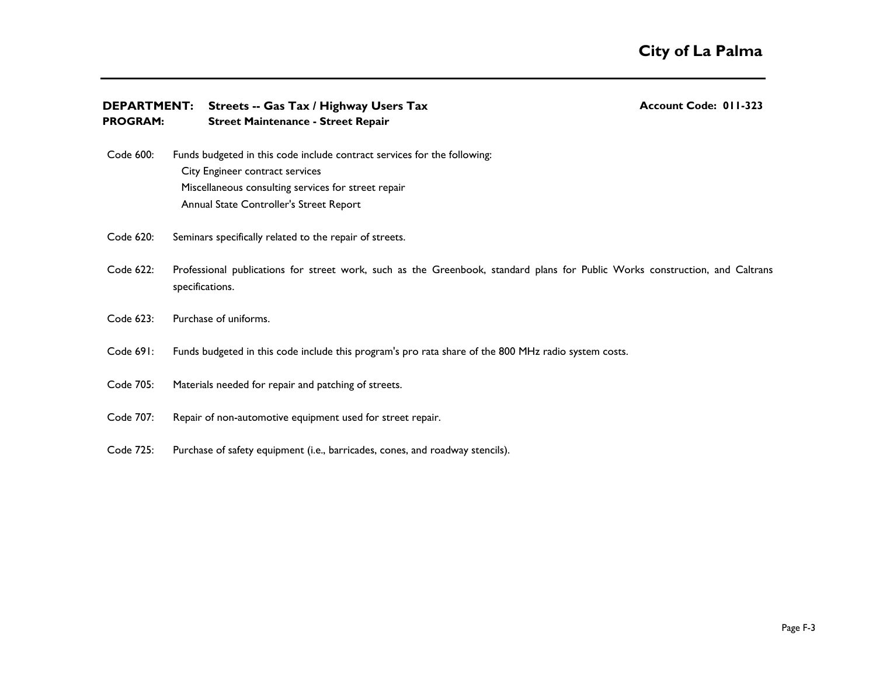| <b>DEPARTMENT:</b><br><b>PROGRAM:</b> | Streets -- Gas Tax / Highway Users Tax<br><b>Street Maintenance - Street Repair</b>                                                                                                                           | <b>Account Code: 011-323</b> |
|---------------------------------------|---------------------------------------------------------------------------------------------------------------------------------------------------------------------------------------------------------------|------------------------------|
| Code 600:                             | Funds budgeted in this code include contract services for the following:<br>City Engineer contract services<br>Miscellaneous consulting services for street repair<br>Annual State Controller's Street Report |                              |
| Code 620:                             | Seminars specifically related to the repair of streets.                                                                                                                                                       |                              |
| Code 622:                             | Professional publications for street work, such as the Greenbook, standard plans for Public Works construction, and Caltrans<br>specifications.                                                               |                              |
| Code 623:                             | Purchase of uniforms.                                                                                                                                                                                         |                              |
| Code 691:                             | Funds budgeted in this code include this program's pro rata share of the 800 MHz radio system costs.                                                                                                          |                              |
| Code 705:                             | Materials needed for repair and patching of streets.                                                                                                                                                          |                              |
| Code 707:                             | Repair of non-automotive equipment used for street repair.                                                                                                                                                    |                              |
| Code 725:                             | Purchase of safety equipment (i.e., barricades, cones, and roadway stencils).                                                                                                                                 |                              |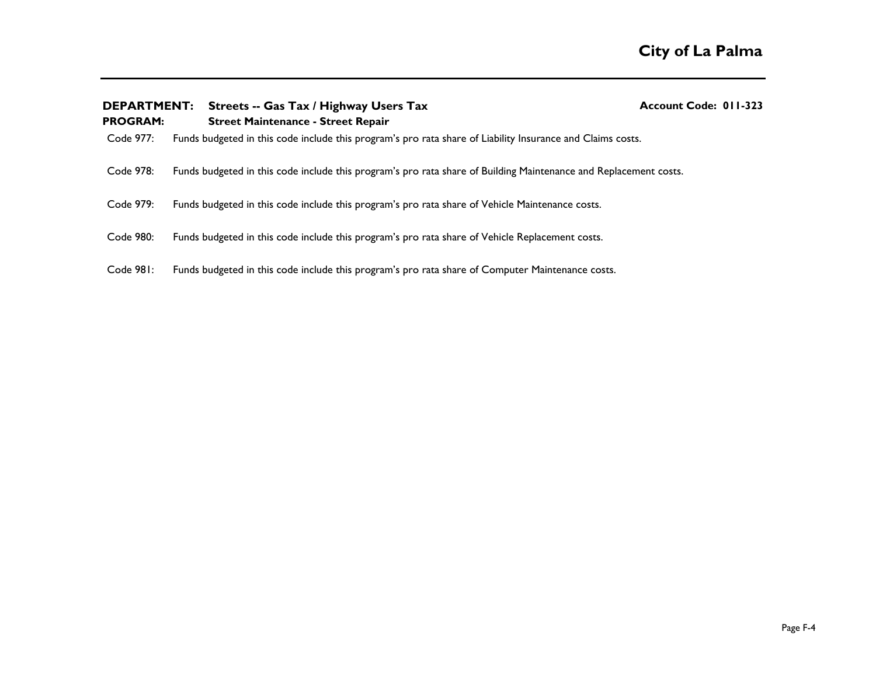| <b>DEPARTMENT:</b><br><b>PROGRAM:</b> | Streets -- Gas Tax / Highway Users Tax<br><b>Street Maintenance - Street Repair</b>                              | Account Code: 011-323 |
|---------------------------------------|------------------------------------------------------------------------------------------------------------------|-----------------------|
| Code 977:                             | Funds budgeted in this code include this program's pro rata share of Liability Insurance and Claims costs.       |                       |
| Code 978:                             | Funds budgeted in this code include this program's pro rata share of Building Maintenance and Replacement costs. |                       |
| Code 979:                             | Funds budgeted in this code include this program's pro rata share of Vehicle Maintenance costs.                  |                       |
| Code 980:                             | Funds budgeted in this code include this program's pro rata share of Vehicle Replacement costs.                  |                       |
| Code 981:                             | Funds budgeted in this code include this program's pro rata share of Computer Maintenance costs.                 |                       |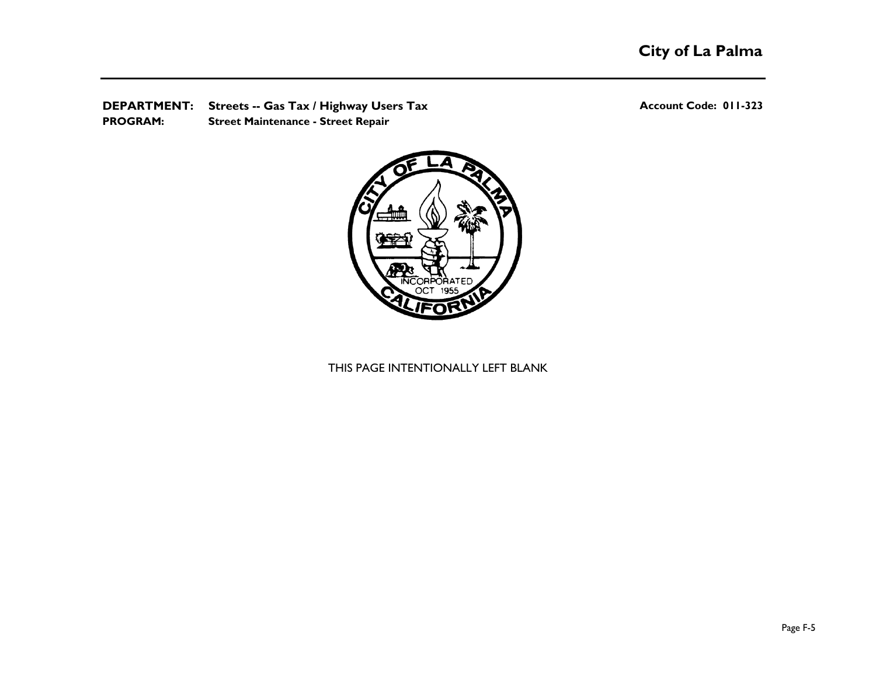**DEPARTMENT:** Streets -- Gas Tax / Highway Users Tax **Account Code: 011-323** Account Code: 011-323 **PROGRAM: Street Maintenance - Street Repair**



# THIS PAGE INTENTIONALLY LEFT BLANK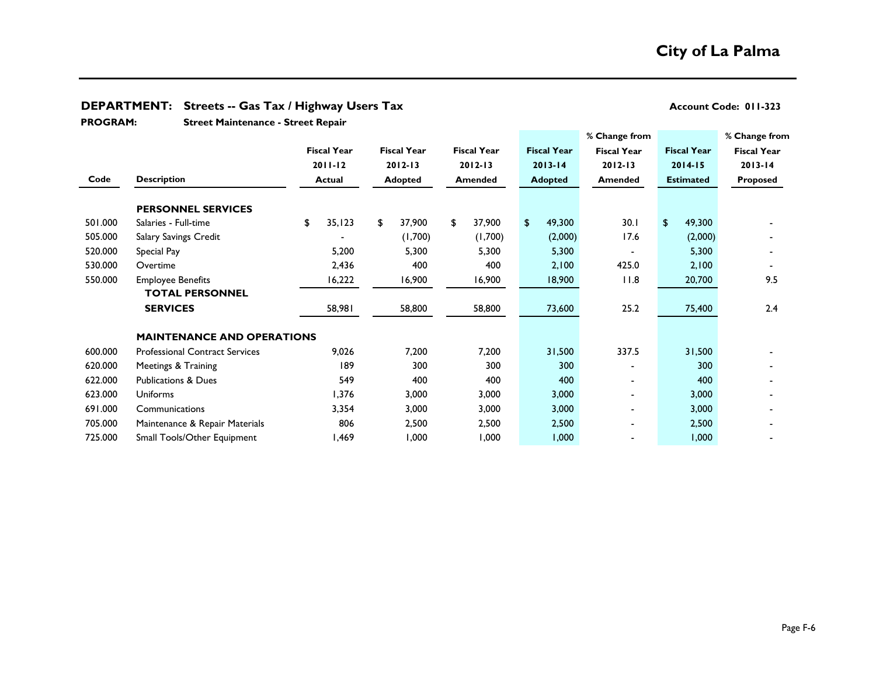# **DEPARTMENT:** Streets -- Gas Tax / Highway Users Tax **Account Code: 011-323** Account Code: 011-323 **Street Maintenance - Street Repair % Change from % Change from Fiscal Year Fiscal Year Fiscal Year Fiscal Year Fiscal Year Fiscal Year Fiscal Year 2011-12 2012-13 2012-13 2013-14 2012-13 2014-15 2013-14 Code Description Actual Adopted Amended Adopted Amended Estimated Proposed PERSONNEL SERVICES** 501.000 Salaries - Full-time \$ 35,123 \$ 37,900 \$ 37,900 \$ 49,300 30.1 \$ 49,300 - 505.000 Salary Savings Credit - (1,700) (1,700) (2,000) 17.6 (2,000) - 520.000 Special Pay 5.000 5,200 5,300 5,300 5,300 5,300 5,300 5,300 5,300 5,300 5,300 5,300 5,300 5,300 5,300 530.000 Overtime 2,436 400 400 2,100 425.0 2,100 - 550.000 Employee Benefits 16,222 16,900 16,900 18,900 11.8 20,700 9.5 58,981 58,800 58,800 73,600 25.2 75,400 2.4 **MAINTENANCE AND OPERATIONS** 600.000 Professional Contract Services 9,026 7,200 7,200 31,500 337.5 31,500 - 620.000 Meetings & Training 189 189 300 300 300 300 - 300 300 622.000 Publications & Dues 549 400 400 400 - 400 - 623.000 Uniforms 1,376 3,000 3,000 3,000 - 3,000 - 691.000 Communications 3,354 3,000 3,000 3,000 - 3,000 - 705.000 Maintenance & Repair Materials 806 2,500 2,500 2,500 - 2,500 - 725.000 Small Tools/Other Equipment 1,469 1,000 1,000 1,000 - 1,000 - **PROGRAM: TOTAL PERSONNEL SERVICES**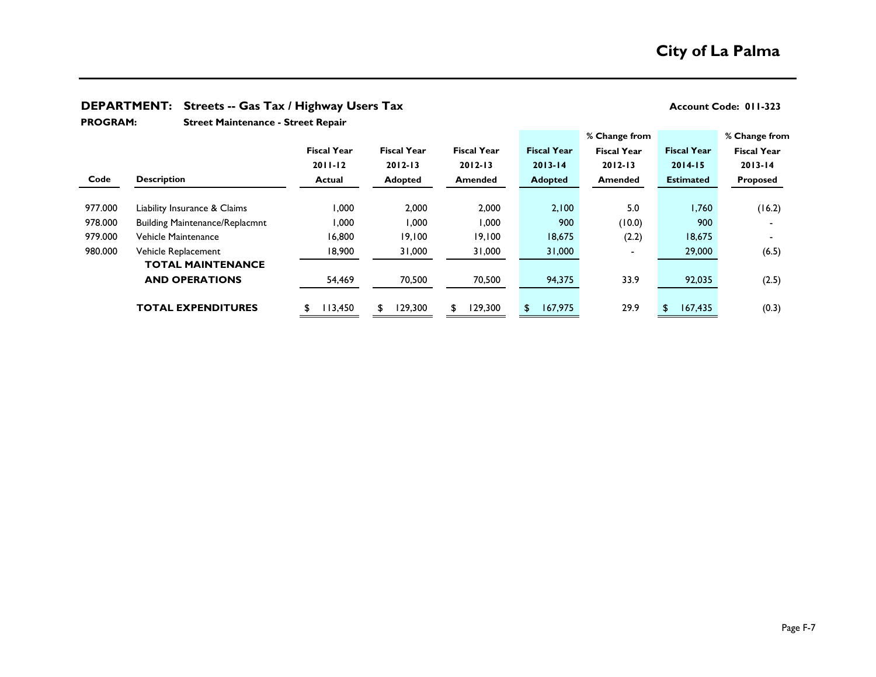## **DEPARTMENT:** Streets -- Gas Tax / Highway Users Tax **Account Code: 011-323** Account Code: 011-323

**Street Maintenance - Street Repair PROGRAM:** 

|         |                                       | <b>Fiscal Year</b> | <b>Fiscal Year</b> | <b>Fiscal Year</b> | <b>Fiscal Year</b> | % Change from<br><b>Fiscal Year</b> | <b>Fiscal Year</b> | % Change from<br><b>Fiscal Year</b> |
|---------|---------------------------------------|--------------------|--------------------|--------------------|--------------------|-------------------------------------|--------------------|-------------------------------------|
|         |                                       | $2011 - 12$        | $2012 - 13$        | $2012 - 13$        | $2013 - 14$        | $2012 - 13$                         | $2014 - 15$        | $2013 - 14$                         |
| Code    | <b>Description</b>                    | <b>Actual</b>      | <b>Adopted</b>     | <b>Amended</b>     | <b>Adopted</b>     | <b>Amended</b>                      | <b>Estimated</b>   | Proposed                            |
| 977.000 | Liability Insurance & Claims          | 000,1              | 2,000              | 2,000              | 2,100              | 5.0                                 | 1,760              | (16.2)                              |
| 978.000 | <b>Building Maintenance/Replacmnt</b> | 000,1              | 1,000              | 1,000              | 900                | (10.0)                              | 900                |                                     |
| 979.000 | Vehicle Maintenance                   | 16,800             | 19,100             | 19,100             | 18,675             | (2.2)                               | 18,675             |                                     |
| 980.000 | Vehicle Replacement                   | 18,900             | 31,000             | 31,000             | 31,000             |                                     | 29,000             | (6.5)                               |
|         | <b>TOTAL MAINTENANCE</b>              |                    |                    |                    |                    |                                     |                    |                                     |
|         | <b>AND OPERATIONS</b>                 | 54,469             | 70,500             | 70,500             | 94,375             | 33.9                                | 92,035             | (2.5)                               |
|         | <b>TOTAL EXPENDITURES</b>             | 113,450            | 129,300            | 129,300<br>\$.     | 167,975<br>\$.     | 29.9                                | 167,435<br>\$      | (0.3)                               |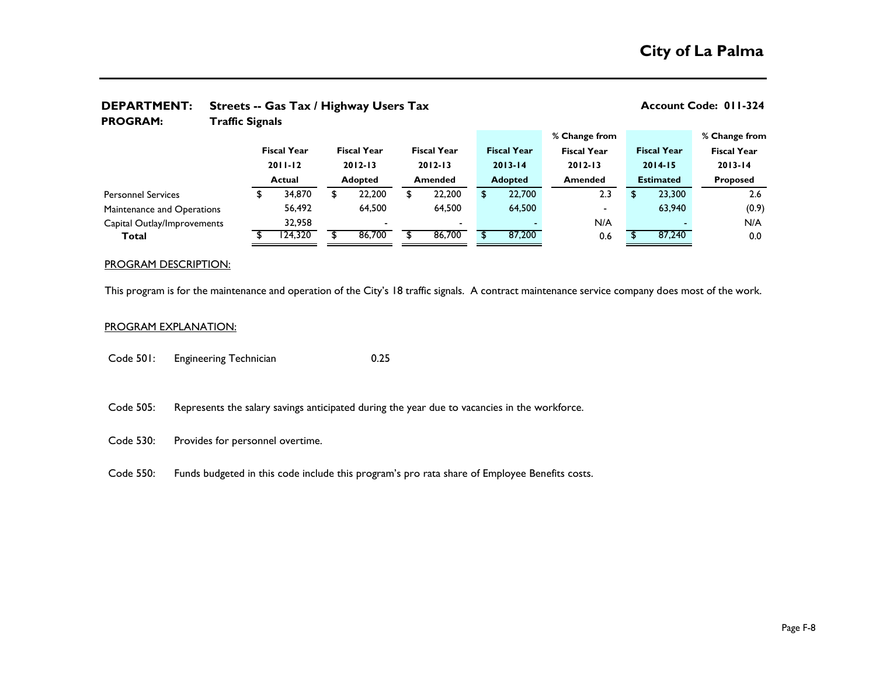| <b>PROGRAM:</b>             | <b>Traffic Signals</b> |                                   |  |                |                                   |                |                          |  |                    |                    |  |                  |                    |                         |  |
|-----------------------------|------------------------|-----------------------------------|--|----------------|-----------------------------------|----------------|--------------------------|--|--------------------|--------------------|--|------------------|--------------------|-------------------------|--|
|                             |                        |                                   |  |                |                                   |                |                          |  |                    | % Change from      |  |                  |                    | % Change from           |  |
|                             |                        | <b>Fiscal Year</b><br>$2011 - 12$ |  |                | <b>Fiscal Year</b><br>$2012 - 13$ |                | <b>Fiscal Year</b>       |  | <b>Fiscal Year</b> | <b>Fiscal Year</b> |  |                  | <b>Fiscal Year</b> | <b>Fiscal Year</b>      |  |
|                             |                        |                                   |  |                |                                   |                | $2012 - 13$              |  | $2013 - 14$        | $2012 - 13$        |  |                  | $2014 - 15$        | $2013 - 14$<br>Proposed |  |
|                             | <b>Actual</b>          |                                   |  | <b>Adopted</b> |                                   | <b>Amended</b> |                          |  | <b>Adopted</b>     | Amended            |  | <b>Estimated</b> |                    |                         |  |
| <b>Personnel Services</b>   |                        | 34,870                            |  | J              | 22,200                            |                | 22,200                   |  | 22,700             | 2.3                |  |                  | 23,300             | 2.6                     |  |
| Maintenance and Operations  |                        | 56,492                            |  |                | 64,500                            |                | 64,500                   |  | 64,500             | $\blacksquare$     |  |                  | 63,940             | (0.9)                   |  |
| Capital Outlay/Improvements |                        | 32,958                            |  |                |                                   |                | $\overline{\phantom{0}}$ |  |                    | N/A                |  |                  |                    | N/A                     |  |
| Total                       |                        | 124,320                           |  |                | 86,700                            |                | 86,700                   |  | 87,200             | 0.6                |  |                  | 87,240             | 0.0                     |  |
|                             |                        |                                   |  |                |                                   |                |                          |  |                    |                    |  |                  |                    |                         |  |

# **DEPARTMENT:** Streets -- Gas Tax / Highway Users Tax **Account Code: 011-324**

### PROGRAM DESCRIPTION:

This program is for the maintenance and operation of the City's 18 traffic signals. A contract maintenance service company does most of the work.

### PROGRAM EXPLANATION:

- Code 501: Engineering Technician 0.25
- Code 505: Represents the salary savings anticipated during the year due to vacancies in the workforce.
- Code 530: Provides for personnel overtime.
- Code 550: Funds budgeted in this code include this program's pro rata share of Employee Benefits costs.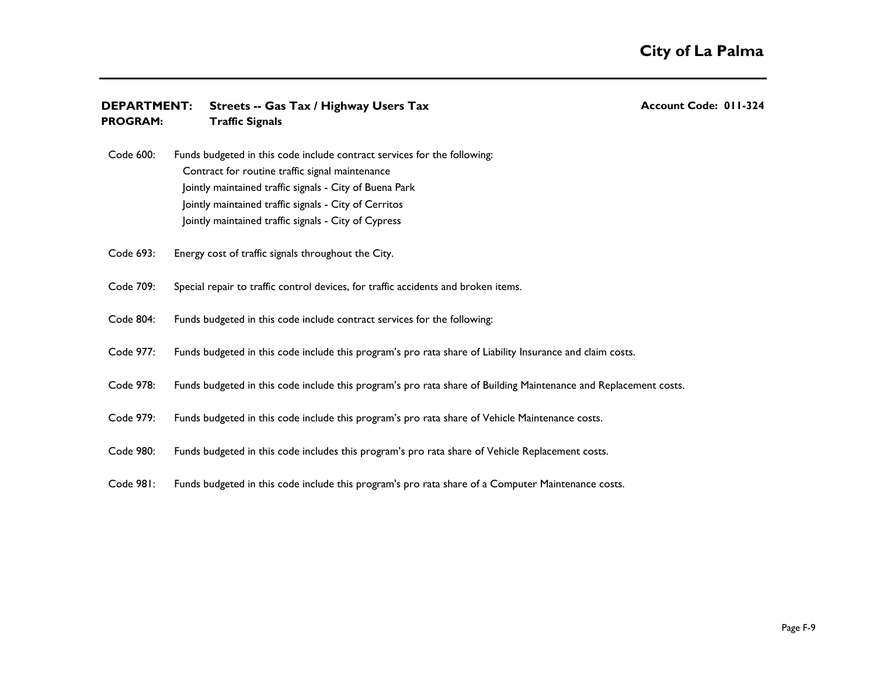| <b>DEPARTMENT:</b><br><b>PROGRAM:</b> | Streets -- Gas Tax / Highway Users Tax<br><b>Traffic Signals</b>                                                                                                                                                                                                                                        | <b>Account Code: 011-324</b> |
|---------------------------------------|---------------------------------------------------------------------------------------------------------------------------------------------------------------------------------------------------------------------------------------------------------------------------------------------------------|------------------------------|
| Code 600:                             | Funds budgeted in this code include contract services for the following:<br>Contract for routine traffic signal maintenance<br>Jointly maintained traffic signals - City of Buena Park<br>Jointly maintained traffic signals - City of Cerritos<br>Jointly maintained traffic signals - City of Cypress |                              |
| Code 693:                             | Energy cost of traffic signals throughout the City.                                                                                                                                                                                                                                                     |                              |
| Code 709:                             | Special repair to traffic control devices, for traffic accidents and broken items.                                                                                                                                                                                                                      |                              |
| Code 804:                             | Funds budgeted in this code include contract services for the following:                                                                                                                                                                                                                                |                              |
| Code 977:                             | Funds budgeted in this code include this program's pro rata share of Liability Insurance and claim costs.                                                                                                                                                                                               |                              |
| Code 978:                             | Funds budgeted in this code include this program's pro rata share of Building Maintenance and Replacement costs.                                                                                                                                                                                        |                              |
| Code 979:                             | Funds budgeted in this code include this program's pro rata share of Vehicle Maintenance costs.                                                                                                                                                                                                         |                              |
| Code 980:                             | Funds budgeted in this code includes this program's pro rata share of Vehicle Replacement costs.                                                                                                                                                                                                        |                              |
| Code 981:                             | Funds budgeted in this code include this program's pro rata share of a Computer Maintenance costs.                                                                                                                                                                                                      |                              |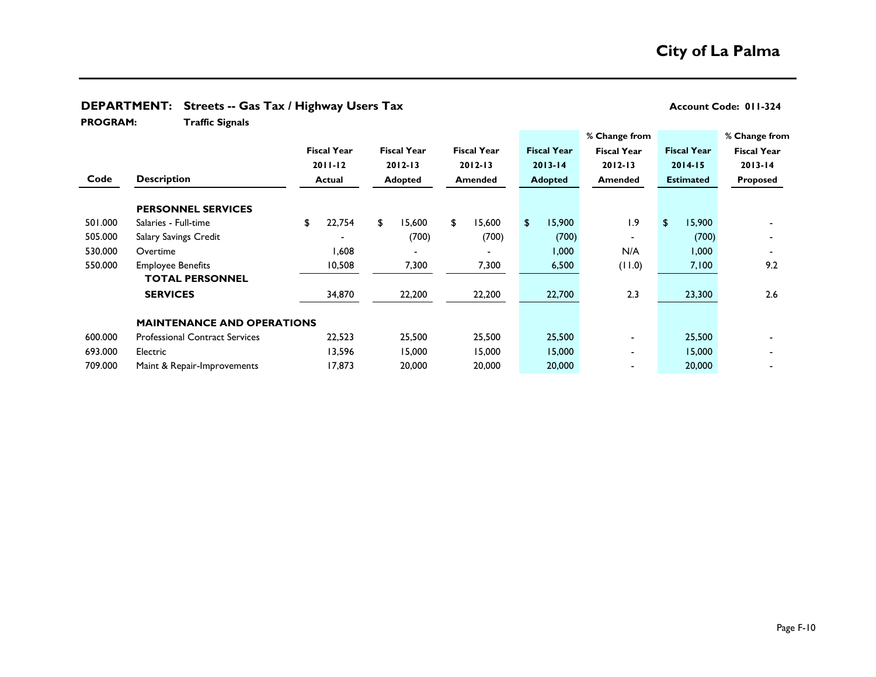| <b>PROGRAM:</b> | <b>Traffic Signals</b>                | <u>.</u> . <i>.</i> |                    |                    |    |                    |    |                    |                    |                  |                    |                    |  |
|-----------------|---------------------------------------|---------------------|--------------------|--------------------|----|--------------------|----|--------------------|--------------------|------------------|--------------------|--------------------|--|
|                 |                                       |                     |                    |                    |    |                    |    |                    | % Change from      |                  |                    | % Change from      |  |
|                 |                                       |                     | <b>Fiscal Year</b> | <b>Fiscal Year</b> |    | <b>Fiscal Year</b> |    | <b>Fiscal Year</b> | <b>Fiscal Year</b> |                  | <b>Fiscal Year</b> | <b>Fiscal Year</b> |  |
|                 |                                       |                     | $2011 - 12$        | $2012 - 13$        |    | $2012 - 13$        |    | $2013 - 14$        | $2012 - 13$        |                  | $2014 - 15$        | $2013 - 14$        |  |
| Code            | <b>Description</b>                    | Actual              |                    | Adopted            |    | <b>Amended</b>     |    | <b>Adopted</b>     | <b>Amended</b>     | <b>Estimated</b> |                    | Proposed           |  |
|                 | <b>PERSONNEL SERVICES</b>             |                     |                    |                    |    |                    |    |                    |                    |                  |                    |                    |  |
| 501.000         | Salaries - Full-time                  | \$                  | 22,754             | \$<br>15,600       | £. | 15,600             | \$ | 5,900              | 1.9                | \$               | 15,900             |                    |  |
| 505.000         | <b>Salary Savings Credit</b>          |                     |                    | (700)              |    | (700)              |    | (700)              | $\blacksquare$     |                  | (700)              |                    |  |
| 530.000         | Overtime                              |                     | 806,1              |                    |    |                    |    | 1,000              | N/A                |                  | 000, 1             |                    |  |
| 550.000         | <b>Employee Benefits</b>              |                     | 10,508             | 7,300              |    | 7,300              |    | 6,500              | (11.0)             |                  | 7,100              | 9.2                |  |
|                 | <b>TOTAL PERSONNEL</b>                |                     |                    |                    |    |                    |    |                    |                    |                  |                    |                    |  |
|                 | <b>SERVICES</b>                       |                     | 34,870             | 22,200             |    | 22,200             |    | 22,700             | 2.3                |                  | 23,300             | 2.6                |  |
|                 | <b>MAINTENANCE AND OPERATIONS</b>     |                     |                    |                    |    |                    |    |                    |                    |                  |                    |                    |  |
| 600.000         | <b>Professional Contract Services</b> |                     | 22,523             | 25,500             |    | 25,500             |    | 25,500             | $\blacksquare$     |                  | 25,500             |                    |  |
| 693.000         | Electric                              |                     | 13,596             | 15,000             |    | 15,000             |    | 15,000             |                    |                  | 15,000             |                    |  |
| 709.000         | Maint & Repair-Improvements           |                     | 17,873             | 20,000             |    | 20,000             |    | 20,000             |                    |                  | 20,000             |                    |  |

## **DEPARTMENT:** Streets -- Gas Tax / Highway Users Tax **Account Code: 011-324** Account Code: 011-324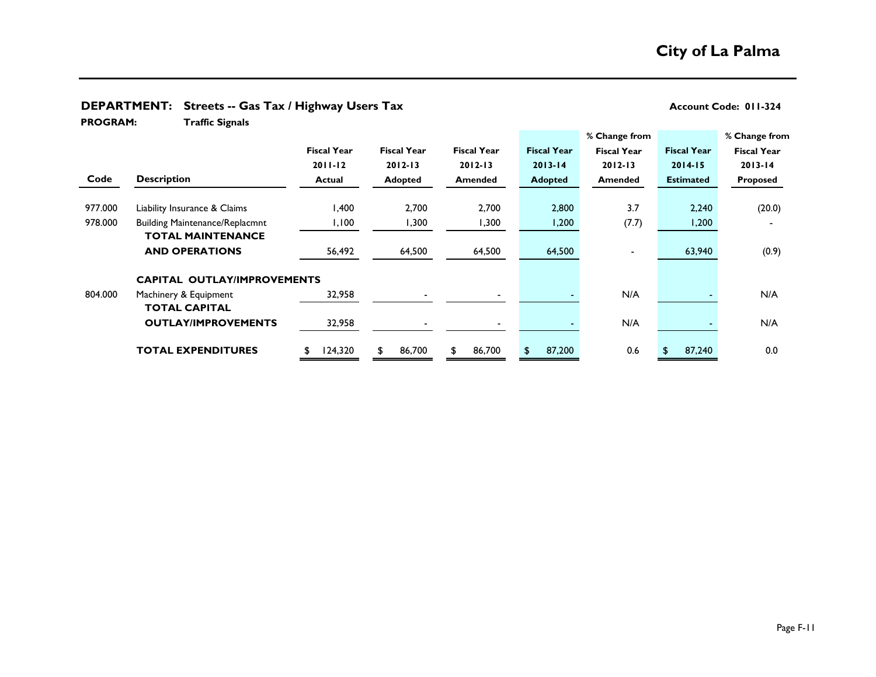| <b>PROGRAM:</b> | <b>Traffic Signals</b>                |                    |                    |                    |                    |                    |                    |                    |  |
|-----------------|---------------------------------------|--------------------|--------------------|--------------------|--------------------|--------------------|--------------------|--------------------|--|
|                 |                                       |                    |                    |                    |                    | % Change from      |                    | % Change from      |  |
|                 |                                       | <b>Fiscal Year</b> | <b>Fiscal Year</b> | <b>Fiscal Year</b> | <b>Fiscal Year</b> | <b>Fiscal Year</b> | <b>Fiscal Year</b> | <b>Fiscal Year</b> |  |
|                 |                                       | $2011 - 12$        | $2012 - 13$        | $2012 - 13$        | $2013 - 14$        | $2012 - 13$        | $2014 - 15$        | $2013 - 14$        |  |
| Code            | <b>Description</b>                    | Actual             | Adopted            | <b>Amended</b>     | <b>Adopted</b>     | <b>Amended</b>     | <b>Estimated</b>   | <b>Proposed</b>    |  |
|                 |                                       |                    |                    |                    |                    |                    |                    |                    |  |
| 977.000         | Liability Insurance & Claims          | 400,١              | 2,700              | 2,700              | 2,800              | 3.7                | 2,240              | (20.0)             |  |
| 978.000         | <b>Building Maintenance/Replacmnt</b> | 1,100              | 1,300              | 1,300              | 1,200              | (7.7)              | 1,200              |                    |  |
|                 | <b>TOTAL MAINTENANCE</b>              |                    |                    |                    |                    |                    |                    |                    |  |
|                 | <b>AND OPERATIONS</b>                 | 56,492             | 64,500             | 64,500             | 64,500             |                    | 63,940             | (0.9)              |  |
|                 | <b>CAPITAL OUTLAY/IMPROVEMENTS</b>    |                    |                    |                    |                    |                    |                    |                    |  |
| 804.000         | Machinery & Equipment                 | 32,958             |                    |                    |                    | N/A                |                    | N/A                |  |
|                 | <b>TOTAL CAPITAL</b>                  |                    |                    |                    |                    |                    |                    |                    |  |
|                 | <b>OUTLAY/IMPROVEMENTS</b>            | 32,958             |                    |                    |                    | N/A                |                    | N/A                |  |
|                 | <b>TOTAL EXPENDITURES</b>             | 124,320<br>\$      | 86,700             | 86,700             | 87,200             | 0.6                | 87,240             | 0.0                |  |

# **DEPARTMENT:** Streets -- Gas Tax / Highway Users Tax **Account Code: 011-324** Account Code: 011-324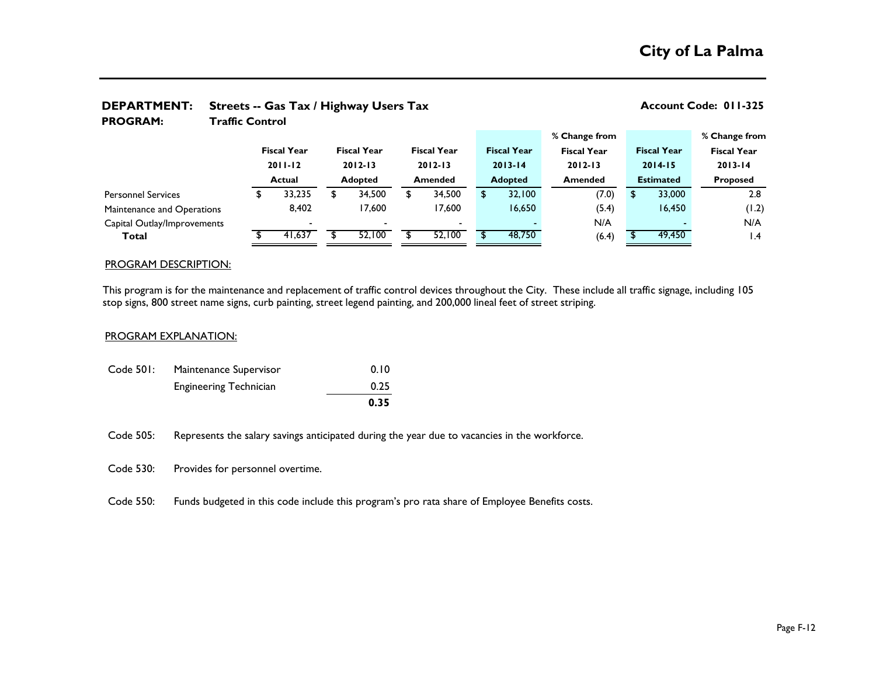| <i>DEFANTILINT.</i><br>$\frac{1}{2}$ streets -- Gas Tax / Highway Osers Tax |                        |                    |        |             |                    |                |                          |  |                    |             |                    | ACCOUNTE COUP. UT T-323 |                    |                    |  |
|-----------------------------------------------------------------------------|------------------------|--------------------|--------|-------------|--------------------|----------------|--------------------------|--|--------------------|-------------|--------------------|-------------------------|--------------------|--------------------|--|
| <b>PROGRAM:</b>                                                             | <b>Traffic Control</b> |                    |        |             |                    |                |                          |  |                    |             |                    |                         |                    |                    |  |
|                                                                             |                        |                    |        |             |                    |                |                          |  |                    |             | % Change from      |                         |                    | % Change from      |  |
|                                                                             |                        | <b>Fiscal Year</b> |        |             | <b>Fiscal Year</b> |                | <b>Fiscal Year</b>       |  | <b>Fiscal Year</b> |             | <b>Fiscal Year</b> |                         | <b>Fiscal Year</b> | <b>Fiscal Year</b> |  |
| $2011 - 12$                                                                 |                        |                    |        | $2012 - 13$ |                    |                | $2012 - 13$              |  | $2013 - 14$        | $2012 - 13$ |                    | $2014 - 15$             |                    | $2013 - 14$        |  |
|                                                                             |                        | Actual             |        | Adopted     |                    | <b>Amended</b> |                          |  | <b>Adopted</b>     |             | <b>Amended</b>     | <b>Estimated</b>        |                    | <b>Proposed</b>    |  |
| <b>Personnel Services</b>                                                   |                        | J.                 | 33,235 | \$          | 34,500             |                | 34,500                   |  | 32,100             |             | (7.0)              | \$.                     | 33,000             | 2.8                |  |
| Maintenance and Operations                                                  |                        |                    | 8,402  |             | 17,600             |                | 17,600                   |  | 16,650             |             | (5.4)              |                         | 16,450             | (1.2)              |  |
| Capital Outlay/Improvements                                                 |                        |                    |        |             |                    |                | $\overline{\phantom{0}}$ |  |                    |             | N/A                |                         |                    | N/A                |  |
| Total                                                                       |                        |                    | 41,637 |             | 52,100             |                | 52,100                   |  | 48,750             |             | (6.4)              |                         | 49,450             | $\mathsf{I}$ .4    |  |
|                                                                             |                        |                    |        |             |                    |                |                          |  |                    |             |                    |                         |                    |                    |  |

# **DEPARTMENT: Streets -- Gas Tax / Highway Users Tax Account Code: 011-325**

### PROGRAM DESCRIPTION:

This program is for the maintenance and replacement of traffic control devices throughout the City. These include all traffic signage, including 105 stop signs, 800 street name signs, curb painting, street legend painting, and 200,000 lineal feet of street striping.

### PROGRAM EXPLANATION:

|           |                               | 0.35 |
|-----------|-------------------------------|------|
|           | <b>Engineering Technician</b> | 0.25 |
| Code 501: | Maintenance Supervisor        | 0.10 |

Code 505: Represents the salary savings anticipated during the year due to vacancies in the workforce.

Code 530: Provides for personnel overtime.

Code 550: Funds budgeted in this code include this program's pro rata share of Employee Benefits costs.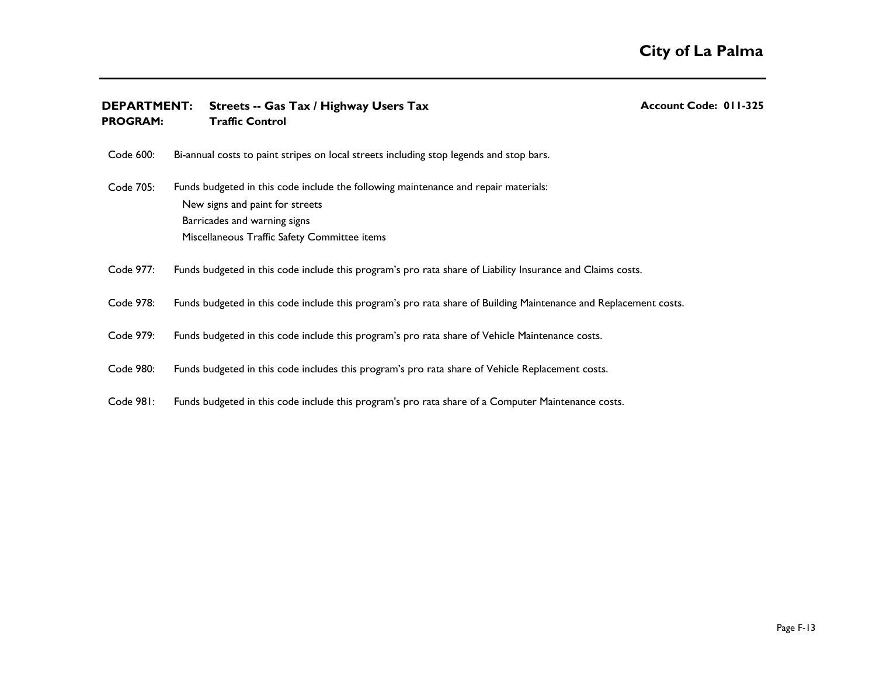| <b>DEPARTMENT:</b><br><b>PROGRAM:</b> | <b>Streets -- Gas Tax / Highway Users Tax</b><br><b>Traffic Control</b>                                                                                                                                | <b>Account Code: 011-325</b> |
|---------------------------------------|--------------------------------------------------------------------------------------------------------------------------------------------------------------------------------------------------------|------------------------------|
| Code 600:                             | Bi-annual costs to paint stripes on local streets including stop legends and stop bars.                                                                                                                |                              |
| Code 705:                             | Funds budgeted in this code include the following maintenance and repair materials:<br>New signs and paint for streets<br>Barricades and warning signs<br>Miscellaneous Traffic Safety Committee items |                              |
| Code 977:                             | Funds budgeted in this code include this program's pro rata share of Liability Insurance and Claims costs.                                                                                             |                              |
| Code 978:                             | Funds budgeted in this code include this program's pro rata share of Building Maintenance and Replacement costs.                                                                                       |                              |
| Code 979:                             | Funds budgeted in this code include this program's pro rata share of Vehicle Maintenance costs.                                                                                                        |                              |
| Code 980:                             | Funds budgeted in this code includes this program's pro rata share of Vehicle Replacement costs.                                                                                                       |                              |
| Code 981:                             | Funds budgeted in this code include this program's pro rata share of a Computer Maintenance costs.                                                                                                     |                              |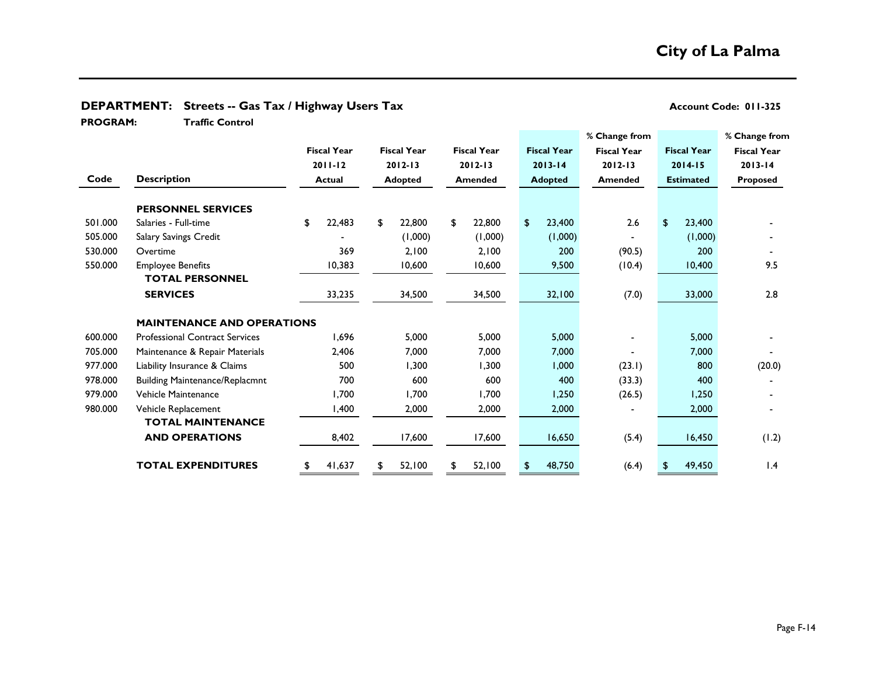| <b>PROGRAM:</b> | <b>Traffic Control</b>                |               |                    |                |                    |                |                    |                |                    |                    |                  |                    |                    |
|-----------------|---------------------------------------|---------------|--------------------|----------------|--------------------|----------------|--------------------|----------------|--------------------|--------------------|------------------|--------------------|--------------------|
|                 |                                       |               |                    |                |                    |                |                    |                |                    | % Change from      |                  |                    | % Change from      |
|                 |                                       |               | <b>Fiscal Year</b> |                | <b>Fiscal Year</b> |                | <b>Fiscal Year</b> |                | <b>Fiscal Year</b> | <b>Fiscal Year</b> |                  | <b>Fiscal Year</b> | <b>Fiscal Year</b> |
|                 |                                       |               | $2011 - 12$        |                | $2012 - 13$        |                | $2012 - 13$        |                | $2013 - 14$        | $2012 - 13$        |                  | $2014 - 15$        | $2013 - 14$        |
| Code            | <b>Description</b>                    | <b>Actual</b> |                    | <b>Adopted</b> |                    | <b>Amended</b> |                    | <b>Adopted</b> |                    | <b>Amended</b>     | <b>Estimated</b> |                    | Proposed           |
|                 | <b>PERSONNEL SERVICES</b>             |               |                    |                |                    |                |                    |                |                    |                    |                  |                    |                    |
| 501.000         | Salaries - Full-time                  | \$            | 22,483             | \$             | 22,800             | \$             | 22,800             | \$             | 23,400             | 2.6                | \$               | 23,400             |                    |
| 505.000         | Salary Savings Credit                 |               |                    |                | (1,000)            |                | (0.00, 1)          |                | (1,000)            |                    |                  | (1,000)            |                    |
| 530.000         | Overtime                              |               | 369                |                | 2,100              |                | 2,100              |                | 200                | (90.5)             |                  | 200                |                    |
| 550.000         | <b>Employee Benefits</b>              |               | 10,383             |                | 10,600             |                | 10,600             |                | 9,500              | (10.4)             |                  | 10,400             | 9.5                |
|                 | <b>TOTAL PERSONNEL</b>                |               |                    |                |                    |                |                    |                |                    |                    |                  |                    |                    |
|                 | <b>SERVICES</b>                       |               | 33,235             |                | 34,500             |                | 34,500             |                | 32,100             | (7.0)              |                  | 33,000             | 2.8                |
|                 | <b>MAINTENANCE AND OPERATIONS</b>     |               |                    |                |                    |                |                    |                |                    |                    |                  |                    |                    |
| 600.000         | <b>Professional Contract Services</b> |               | 1,696              |                | 5,000              |                | 5,000              |                | 5,000              |                    |                  | 5,000              |                    |
| 705.000         | Maintenance & Repair Materials        |               | 2,406              |                | 7,000              |                | 7,000              |                | 7,000              |                    |                  | 7,000              |                    |
| 977.000         | Liability Insurance & Claims          |               | 500                |                | 1,300              |                | 1,300              |                | 1,000              | (23.1)             |                  | 800                | (20.0)             |
| 978.000         | <b>Building Maintenance/Replacmnt</b> |               | 700                |                | 600                |                | 600                |                | 400                | (33.3)             |                  | 400                |                    |
| 979.000         | Vehicle Maintenance                   |               | 1,700              |                | 1,700              |                | 1,700              |                | 1,250              | (26.5)             |                  | 1,250              |                    |
| 980.000         | Vehicle Replacement                   |               | 1,400              |                | 2,000              |                | 2,000              |                | 2,000              |                    |                  | 2,000              |                    |
|                 | <b>TOTAL MAINTENANCE</b>              |               |                    |                |                    |                |                    |                |                    |                    |                  |                    |                    |
|                 | <b>AND OPERATIONS</b>                 |               | 8,402              |                | 17,600             |                | 17,600             |                | 16,650             | (5.4)              |                  | 16,450             | (1.2)              |
|                 | <b>TOTAL EXPENDITURES</b>             | \$            | 41,637             | \$             | 52,100             | \$             | 52,100             | S              | 48,750             | (6.4)              |                  | 49,450             | $\mathsf{I}$ .4    |

# **DEPARTMENT:** Streets -- Gas Tax / Highway Users Tax **Account Code: 011-325** Account Code: 011-325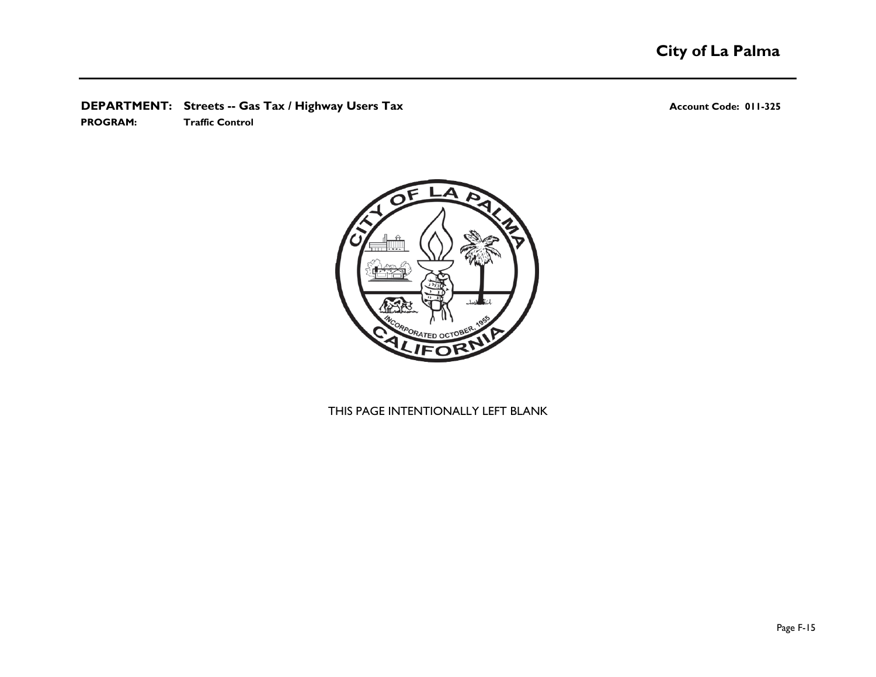# **DEPARTMENT:** Streets -- Gas Tax / Highway Users Tax **Account Code: 011-325** Account Code: 011-325

**PROGRAM: Traffic Control**



# THIS PAGE INTENTIONALLY LEFT BLANK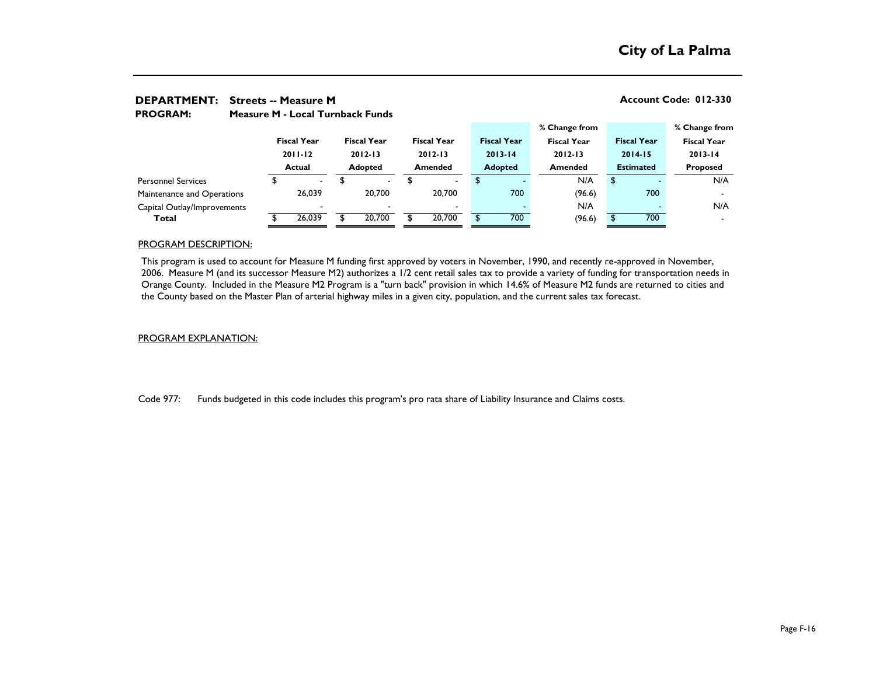| <b>DEPARTMENT:</b><br><b>PROGRAM:</b> |             | Account Code: 012-330<br><b>Streets -- Measure M</b><br><b>Measure M - Local Turnback Funds</b> |                          |             |                    |             |                    |                |                    |                    |             |                  |                    |                    |  |
|---------------------------------------|-------------|-------------------------------------------------------------------------------------------------|--------------------------|-------------|--------------------|-------------|--------------------|----------------|--------------------|--------------------|-------------|------------------|--------------------|--------------------|--|
|                                       |             |                                                                                                 |                          |             |                    |             |                    |                |                    | % Change from      |             |                  |                    | % Change from      |  |
|                                       |             |                                                                                                 | <b>Fiscal Year</b>       |             | <b>Fiscal Year</b> |             | <b>Fiscal Year</b> |                | <b>Fiscal Year</b> | <b>Fiscal Year</b> |             |                  | <b>Fiscal Year</b> | <b>Fiscal Year</b> |  |
|                                       | $2011 - 12$ |                                                                                                 |                          | $2012 - 13$ |                    | $2012 - 13$ | $2013 - 14$        |                | $2012 - 13$        |                    | $2014 - 15$ |                  | $2013 - 14$        |                    |  |
|                                       |             |                                                                                                 | <b>Actual</b>            |             | <b>Adopted</b>     |             | <b>Amended</b>     | <b>Adopted</b> |                    | <b>Amended</b>     |             | <b>Estimated</b> |                    | <b>Proposed</b>    |  |
| <b>Personnel Services</b>             |             |                                                                                                 | $\overline{\phantom{0}}$ |             | $\blacksquare$     |             | $\blacksquare$     | \$             |                    |                    | N/A         | \$               |                    | N/A                |  |
| Maintenance and Operations            |             |                                                                                                 | 26.039                   |             | 20,700             |             | 20,700             |                | 700                |                    | (96.6)      |                  | 700                |                    |  |
| Capital Outlay/Improvements           |             |                                                                                                 | $\blacksquare$           |             |                    |             | $\blacksquare$     |                |                    |                    | N/A         |                  |                    | N/A                |  |
| Total                                 |             |                                                                                                 | 26,039                   |             | 20,700             |             | 20,700             |                | 700                |                    | (96.6)      |                  | 700                |                    |  |

### PROGRAM DESCRIPTION:

This program is used to account for Measure M funding first approved by voters in November, 1990, and recently re-approved in November, 2006. Measure M (and its successor Measure M2) authorizes a 1/2 cent retail sales tax to provide a variety of funding for transportation needs in Orange County. Included in the Measure M2 Program is a "turn back" provision in which 14.6% of Measure M2 funds are returned to cities and the County based on the Master Plan of arterial highway miles in a given city, population, and the current sales tax forecast.

### PROGRAM EXPLANATION:

Code 977: Funds budgeted in this code includes this program's pro rata share of Liability Insurance and Claims costs.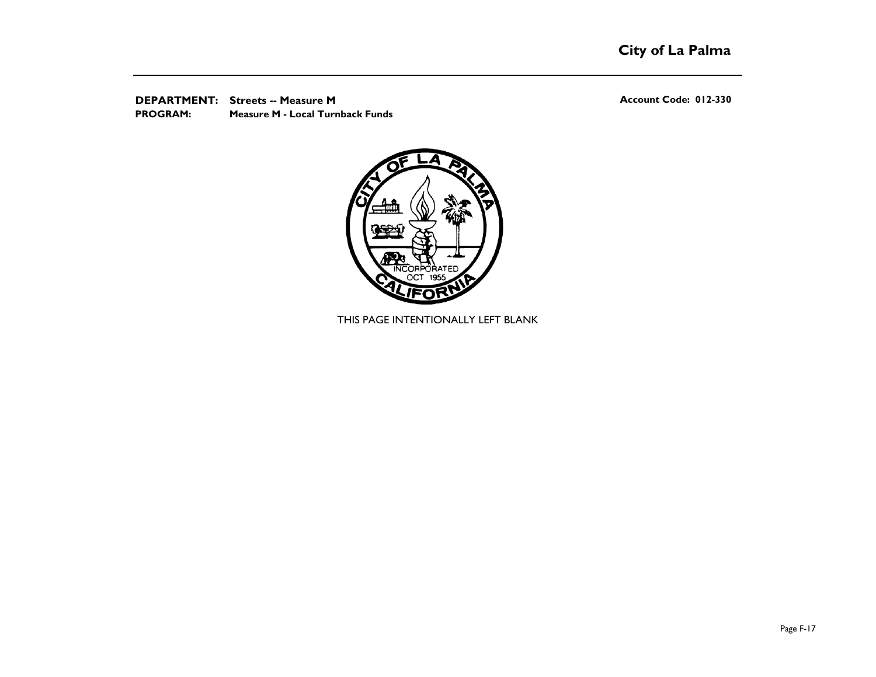**DEPARTMENT:** Streets -- Measure M<br> **DEPARTMENT:** Streets -- Measure M **PROGRAM: Measure M - Local Turnback Funds**



THIS PAGE INTENTIONALLY LEFT BLANK